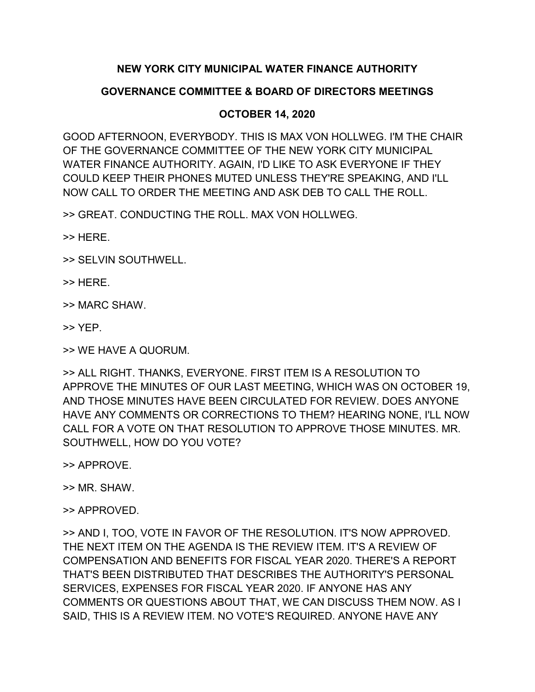## **NEW YORK CITY MUNICIPAL WATER FINANCE AUTHORITY**

## **GOVERNANCE COMMITTEE & BOARD OF DIRECTORS MEETINGS**

## **OCTOBER 14, 2020**

GOOD AFTERNOON, EVERYBODY. THIS IS MAX VON HOLLWEG. I'M THE CHAIR OF THE GOVERNANCE COMMITTEE OF THE NEW YORK CITY MUNICIPAL WATER FINANCE AUTHORITY. AGAIN, I'D LIKE TO ASK EVERYONE IF THEY COULD KEEP THEIR PHONES MUTED UNLESS THEY'RE SPEAKING, AND I'LL NOW CALL TO ORDER THE MEETING AND ASK DEB TO CALL THE ROLL.

>> GREAT. CONDUCTING THE ROLL. MAX VON HOLLWEG.

>> HERE.

>> SELVIN SOUTHWELL.

>> HERE.

>> MARC SHAW.

>> YEP.

>> WE HAVE A QUORUM.

>> ALL RIGHT. THANKS, EVERYONE. FIRST ITEM IS A RESOLUTION TO APPROVE THE MINUTES OF OUR LAST MEETING, WHICH WAS ON OCTOBER 19, AND THOSE MINUTES HAVE BEEN CIRCULATED FOR REVIEW. DOES ANYONE HAVE ANY COMMENTS OR CORRECTIONS TO THEM? HEARING NONE, I'LL NOW CALL FOR A VOTE ON THAT RESOLUTION TO APPROVE THOSE MINUTES. MR. SOUTHWELL, HOW DO YOU VOTE?

>> APPROVE.

>> MR. SHAW.

>> APPROVED.

>> AND I, TOO, VOTE IN FAVOR OF THE RESOLUTION. IT'S NOW APPROVED. THE NEXT ITEM ON THE AGENDA IS THE REVIEW ITEM. IT'S A REVIEW OF COMPENSATION AND BENEFITS FOR FISCAL YEAR 2020. THERE'S A REPORT THAT'S BEEN DISTRIBUTED THAT DESCRIBES THE AUTHORITY'S PERSONAL SERVICES, EXPENSES FOR FISCAL YEAR 2020. IF ANYONE HAS ANY COMMENTS OR QUESTIONS ABOUT THAT, WE CAN DISCUSS THEM NOW. AS I SAID, THIS IS A REVIEW ITEM. NO VOTE'S REQUIRED. ANYONE HAVE ANY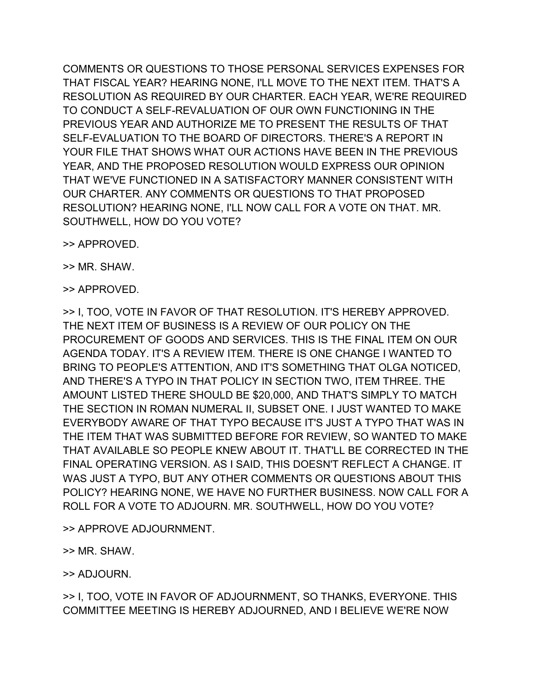COMMENTS OR QUESTIONS TO THOSE PERSONAL SERVICES EXPENSES FOR THAT FISCAL YEAR? HEARING NONE, I'LL MOVE TO THE NEXT ITEM. THAT'S A RESOLUTION AS REQUIRED BY OUR CHARTER. EACH YEAR, WE'RE REQUIRED TO CONDUCT A SELF-REVALUATION OF OUR OWN FUNCTIONING IN THE PREVIOUS YEAR AND AUTHORIZE ME TO PRESENT THE RESULTS OF THAT SELF-EVALUATION TO THE BOARD OF DIRECTORS. THERE'S A REPORT IN YOUR FILE THAT SHOWS WHAT OUR ACTIONS HAVE BEEN IN THE PREVIOUS YEAR, AND THE PROPOSED RESOLUTION WOULD EXPRESS OUR OPINION THAT WE'VE FUNCTIONED IN A SATISFACTORY MANNER CONSISTENT WITH OUR CHARTER. ANY COMMENTS OR QUESTIONS TO THAT PROPOSED RESOLUTION? HEARING NONE, I'LL NOW CALL FOR A VOTE ON THAT. MR. SOUTHWELL, HOW DO YOU VOTE?

>> APPROVED.

>> MR. SHAW.

>> APPROVED.

>> I, TOO, VOTE IN FAVOR OF THAT RESOLUTION. IT'S HEREBY APPROVED. THE NEXT ITEM OF BUSINESS IS A REVIEW OF OUR POLICY ON THE PROCUREMENT OF GOODS AND SERVICES. THIS IS THE FINAL ITEM ON OUR AGENDA TODAY. IT'S A REVIEW ITEM. THERE IS ONE CHANGE I WANTED TO BRING TO PEOPLE'S ATTENTION, AND IT'S SOMETHING THAT OLGA NOTICED, AND THERE'S A TYPO IN THAT POLICY IN SECTION TWO, ITEM THREE. THE AMOUNT LISTED THERE SHOULD BE \$20,000, AND THAT'S SIMPLY TO MATCH THE SECTION IN ROMAN NUMERAL II, SUBSET ONE. I JUST WANTED TO MAKE EVERYBODY AWARE OF THAT TYPO BECAUSE IT'S JUST A TYPO THAT WAS IN THE ITEM THAT WAS SUBMITTED BEFORE FOR REVIEW, SO WANTED TO MAKE THAT AVAILABLE SO PEOPLE KNEW ABOUT IT. THAT'LL BE CORRECTED IN THE FINAL OPERATING VERSION. AS I SAID, THIS DOESN'T REFLECT A CHANGE. IT WAS JUST A TYPO, BUT ANY OTHER COMMENTS OR QUESTIONS ABOUT THIS POLICY? HEARING NONE, WE HAVE NO FURTHER BUSINESS. NOW CALL FOR A ROLL FOR A VOTE TO ADJOURN. MR. SOUTHWELL, HOW DO YOU VOTE?

>> APPROVE ADJOURNMENT.

>> MR. SHAW.

>> ADJOURN.

>> I, TOO, VOTE IN FAVOR OF ADJOURNMENT, SO THANKS, EVERYONE. THIS COMMITTEE MEETING IS HEREBY ADJOURNED, AND I BELIEVE WE'RE NOW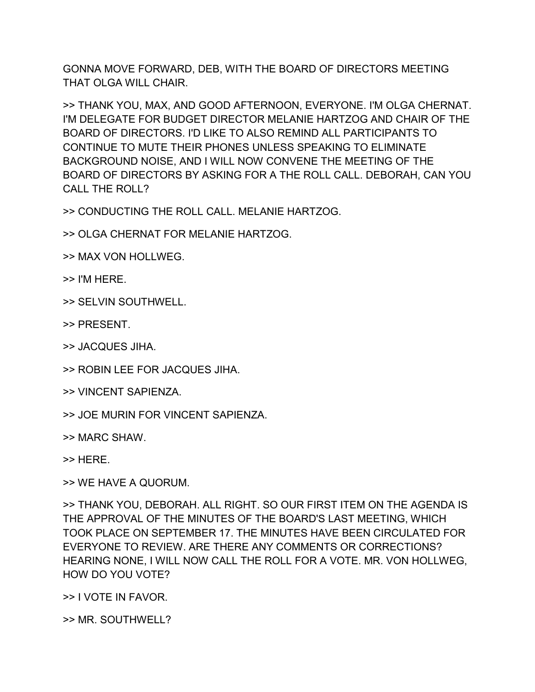GONNA MOVE FORWARD, DEB, WITH THE BOARD OF DIRECTORS MEETING THAT OLGA WILL CHAIR.

>> THANK YOU, MAX, AND GOOD AFTERNOON, EVERYONE. I'M OLGA CHERNAT. I'M DELEGATE FOR BUDGET DIRECTOR MELANIE HARTZOG AND CHAIR OF THE BOARD OF DIRECTORS. I'D LIKE TO ALSO REMIND ALL PARTICIPANTS TO CONTINUE TO MUTE THEIR PHONES UNLESS SPEAKING TO ELIMINATE BACKGROUND NOISE, AND I WILL NOW CONVENE THE MEETING OF THE BOARD OF DIRECTORS BY ASKING FOR A THE ROLL CALL. DEBORAH, CAN YOU CALL THE ROLL?

>> CONDUCTING THE ROLL CALL. MELANIE HARTZOG.

>> OLGA CHERNAT FOR MELANIE HARTZOG.

- >> MAX VON HOLLWEG.
- >> I'M HERE.
- >> SELVIN SOUTHWELL.
- >> PRESENT.
- >> JACQUES JIHA.
- >> ROBIN LEE FOR JACQUES JIHA.
- >> VINCENT SAPIENZA.
- >> JOE MURIN FOR VINCENT SAPIENZA.
- >> MARC SHAW.

>> HERE.

>> WE HAVE A QUORUM.

>> THANK YOU, DEBORAH. ALL RIGHT. SO OUR FIRST ITEM ON THE AGENDA IS THE APPROVAL OF THE MINUTES OF THE BOARD'S LAST MEETING, WHICH TOOK PLACE ON SEPTEMBER 17. THE MINUTES HAVE BEEN CIRCULATED FOR EVERYONE TO REVIEW. ARE THERE ANY COMMENTS OR CORRECTIONS? HEARING NONE, I WILL NOW CALL THE ROLL FOR A VOTE. MR. VON HOLLWEG, HOW DO YOU VOTE?

>> I VOTE IN FAVOR.

>> MR. SOUTHWELL?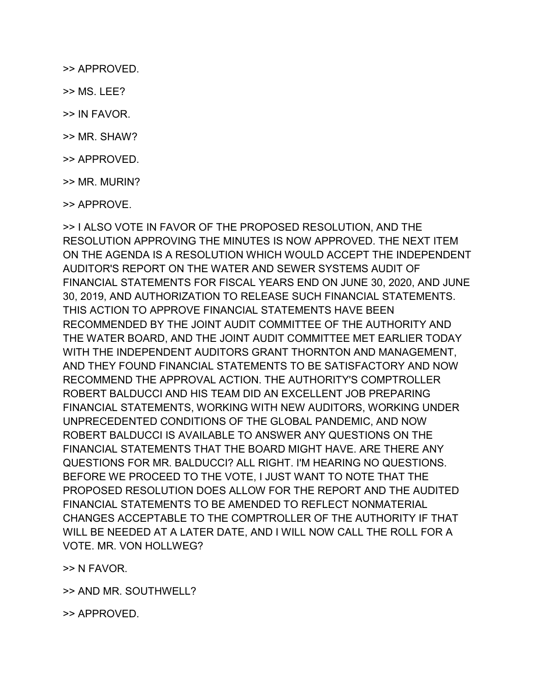>> APPROVED.

- >> MS. LEE?
- >> IN FAVOR.
- >> MR. SHAW?
- >> APPROVED.
- >> MR. MURIN?
- >> APPROVE.

>> I ALSO VOTE IN FAVOR OF THE PROPOSED RESOLUTION, AND THE RESOLUTION APPROVING THE MINUTES IS NOW APPROVED. THE NEXT ITEM ON THE AGENDA IS A RESOLUTION WHICH WOULD ACCEPT THE INDEPENDENT AUDITOR'S REPORT ON THE WATER AND SEWER SYSTEMS AUDIT OF FINANCIAL STATEMENTS FOR FISCAL YEARS END ON JUNE 30, 2020, AND JUNE 30, 2019, AND AUTHORIZATION TO RELEASE SUCH FINANCIAL STATEMENTS. THIS ACTION TO APPROVE FINANCIAL STATEMENTS HAVE BEEN RECOMMENDED BY THE JOINT AUDIT COMMITTEE OF THE AUTHORITY AND THE WATER BOARD, AND THE JOINT AUDIT COMMITTEE MET EARLIER TODAY WITH THE INDEPENDENT AUDITORS GRANT THORNTON AND MANAGEMENT, AND THEY FOUND FINANCIAL STATEMENTS TO BE SATISFACTORY AND NOW RECOMMEND THE APPROVAL ACTION. THE AUTHORITY'S COMPTROLLER ROBERT BALDUCCI AND HIS TEAM DID AN EXCELLENT JOB PREPARING FINANCIAL STATEMENTS, WORKING WITH NEW AUDITORS, WORKING UNDER UNPRECEDENTED CONDITIONS OF THE GLOBAL PANDEMIC, AND NOW ROBERT BALDUCCI IS AVAILABLE TO ANSWER ANY QUESTIONS ON THE FINANCIAL STATEMENTS THAT THE BOARD MIGHT HAVE. ARE THERE ANY QUESTIONS FOR MR. BALDUCCI? ALL RIGHT. I'M HEARING NO QUESTIONS. BEFORE WE PROCEED TO THE VOTE, I JUST WANT TO NOTE THAT THE PROPOSED RESOLUTION DOES ALLOW FOR THE REPORT AND THE AUDITED FINANCIAL STATEMENTS TO BE AMENDED TO REFLECT NONMATERIAL CHANGES ACCEPTABLE TO THE COMPTROLLER OF THE AUTHORITY IF THAT WILL BE NEEDED AT A LATER DATE, AND I WILL NOW CALL THE ROLL FOR A VOTE. MR. VON HOLLWEG?

>> N FAVOR.

>> AND MR. SOUTHWELL?

>> APPROVED.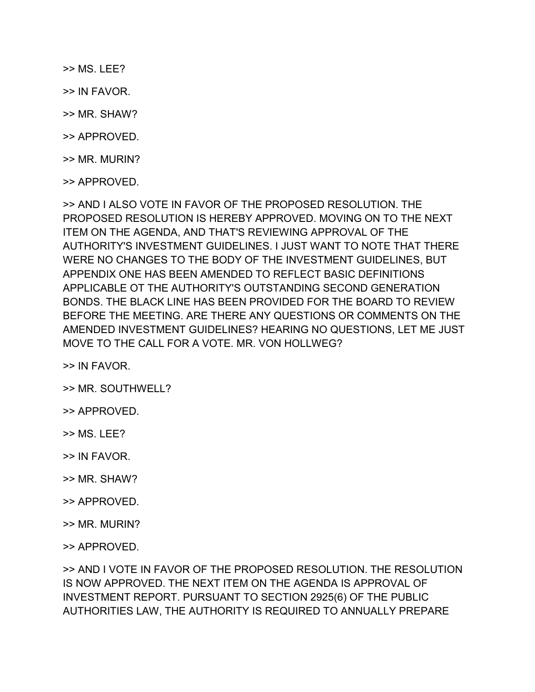>> MS. LEE?

- >> IN FAVOR.
- >> MR. SHAW?
- >> APPROVED.
- >> MR. MURIN?
- >> APPROVED.

>> AND I ALSO VOTE IN FAVOR OF THE PROPOSED RESOLUTION. THE PROPOSED RESOLUTION IS HEREBY APPROVED. MOVING ON TO THE NEXT ITEM ON THE AGENDA, AND THAT'S REVIEWING APPROVAL OF THE AUTHORITY'S INVESTMENT GUIDELINES. I JUST WANT TO NOTE THAT THERE WERE NO CHANGES TO THE BODY OF THE INVESTMENT GUIDELINES, BUT APPENDIX ONE HAS BEEN AMENDED TO REFLECT BASIC DEFINITIONS APPLICABLE OT THE AUTHORITY'S OUTSTANDING SECOND GENERATION BONDS. THE BLACK LINE HAS BEEN PROVIDED FOR THE BOARD TO REVIEW BEFORE THE MEETING. ARE THERE ANY QUESTIONS OR COMMENTS ON THE AMENDED INVESTMENT GUIDELINES? HEARING NO QUESTIONS, LET ME JUST MOVE TO THE CALL FOR A VOTE. MR. VON HOLLWEG?

>> IN FAVOR.

- >> MR. SOUTHWELL?
- >> APPROVED.
- >> MS. LEE?
- >> IN FAVOR.
- >> MR. SHAW?
- >> APPROVED.
- >> MR. MURIN?

>> APPROVED.

>> AND I VOTE IN FAVOR OF THE PROPOSED RESOLUTION. THE RESOLUTION IS NOW APPROVED. THE NEXT ITEM ON THE AGENDA IS APPROVAL OF INVESTMENT REPORT. PURSUANT TO SECTION 2925(6) OF THE PUBLIC AUTHORITIES LAW, THE AUTHORITY IS REQUIRED TO ANNUALLY PREPARE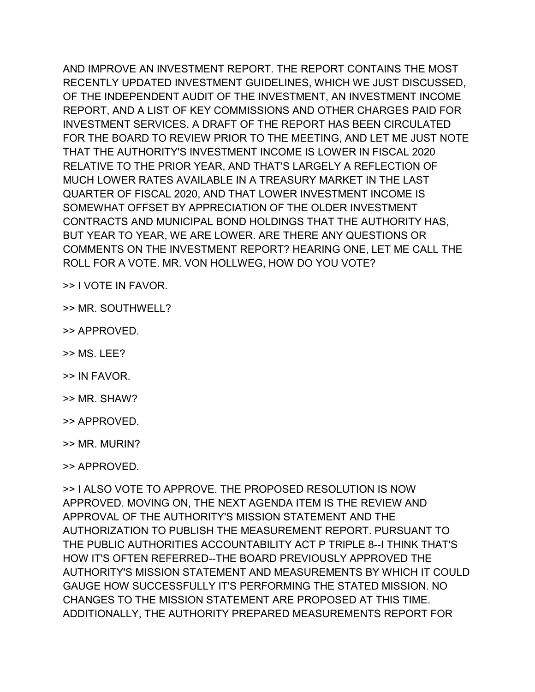AND IMPROVE AN INVESTMENT REPORT. THE REPORT CONTAINS THE MOST RECENTLY UPDATED INVESTMENT GUIDELINES, WHICH WE JUST DISCUSSED, OF THE INDEPENDENT AUDIT OF THE INVESTMENT, AN INVESTMENT INCOME REPORT, AND A LIST OF KEY COMMISSIONS AND OTHER CHARGES PAID FOR INVESTMENT SERVICES. A DRAFT OF THE REPORT HAS BEEN CIRCULATED FOR THE BOARD TO REVIEW PRIOR TO THE MEETING, AND LET ME JUST NOTE THAT THE AUTHORITY'S INVESTMENT INCOME IS LOWER IN FISCAL 2020 RELATIVE TO THE PRIOR YEAR, AND THAT'S LARGELY A REFLECTION OF MUCH LOWER RATES AVAILABLE IN A TREASURY MARKET IN THE LAST QUARTER OF FISCAL 2020, AND THAT LOWER INVESTMENT INCOME IS SOMEWHAT OFFSET BY APPRECIATION OF THE OLDER INVESTMENT CONTRACTS AND MUNICIPAL BOND HOLDINGS THAT THE AUTHORITY HAS, BUT YEAR TO YEAR, WE ARE LOWER. ARE THERE ANY QUESTIONS OR COMMENTS ON THE INVESTMENT REPORT? HEARING ONE, LET ME CALL THE ROLL FOR A VOTE. MR. VON HOLLWEG, HOW DO YOU VOTE?

- >> I VOTE IN FAVOR.
- >> MR. SOUTHWELL?
- >> APPROVED.
- $>> MS$  LFF?
- >> IN FAVOR.
- >> MR. SHAW?
- >> APPROVED.
- >> MR. MURIN?

>> I ALSO VOTE TO APPROVE. THE PROPOSED RESOLUTION IS NOW APPROVED. MOVING ON, THE NEXT AGENDA ITEM IS THE REVIEW AND APPROVAL OF THE AUTHORITY'S MISSION STATEMENT AND THE AUTHORIZATION TO PUBLISH THE MEASUREMENT REPORT. PURSUANT TO THE PUBLIC AUTHORITIES ACCOUNTABILITY ACT P TRIPLE 8--I THINK THAT'S HOW IT'S OFTEN REFERRED--THE BOARD PREVIOUSLY APPROVED THE AUTHORITY'S MISSION STATEMENT AND MEASUREMENTS BY WHICH IT COULD GAUGE HOW SUCCESSFULLY IT'S PERFORMING THE STATED MISSION. NO CHANGES TO THE MISSION STATEMENT ARE PROPOSED AT THIS TIME. ADDITIONALLY, THE AUTHORITY PREPARED MEASUREMENTS REPORT FOR

<sup>&</sup>gt;> APPROVED.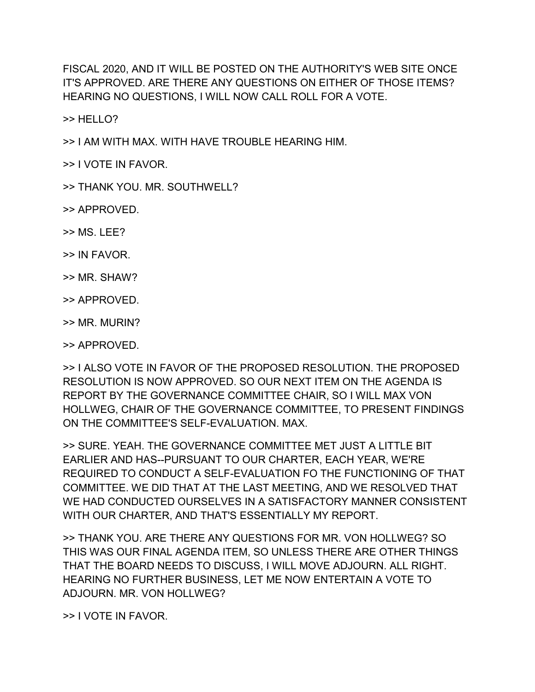FISCAL 2020, AND IT WILL BE POSTED ON THE AUTHORITY'S WEB SITE ONCE IT'S APPROVED. ARE THERE ANY QUESTIONS ON EITHER OF THOSE ITEMS? HEARING NO QUESTIONS, I WILL NOW CALL ROLL FOR A VOTE.

>> HELLO?

>> I AM WITH MAX. WITH HAVE TROUBLE HEARING HIM.

>> I VOTE IN FAVOR.

>> THANK YOU. MR. SOUTHWELL?

>> APPROVED.

- $>> MS$  LFF?
- >> IN FAVOR.
- >> MR. SHAW?
- >> APPROVED.
- >> MR. MURIN?

>> APPROVED.

>> I ALSO VOTE IN FAVOR OF THE PROPOSED RESOLUTION. THE PROPOSED RESOLUTION IS NOW APPROVED. SO OUR NEXT ITEM ON THE AGENDA IS REPORT BY THE GOVERNANCE COMMITTEE CHAIR, SO I WILL MAX VON HOLLWEG, CHAIR OF THE GOVERNANCE COMMITTEE, TO PRESENT FINDINGS ON THE COMMITTEE'S SELF-EVALUATION. MAX.

>> SURE. YEAH. THE GOVERNANCE COMMITTEE MET JUST A LITTLE BIT EARLIER AND HAS--PURSUANT TO OUR CHARTER, EACH YEAR, WE'RE REQUIRED TO CONDUCT A SELF-EVALUATION FO THE FUNCTIONING OF THAT COMMITTEE. WE DID THAT AT THE LAST MEETING, AND WE RESOLVED THAT WE HAD CONDUCTED OURSELVES IN A SATISFACTORY MANNER CONSISTENT WITH OUR CHARTER, AND THAT'S ESSENTIALLY MY REPORT.

>> THANK YOU. ARE THERE ANY QUESTIONS FOR MR. VON HOLLWEG? SO THIS WAS OUR FINAL AGENDA ITEM, SO UNLESS THERE ARE OTHER THINGS THAT THE BOARD NEEDS TO DISCUSS, I WILL MOVE ADJOURN. ALL RIGHT. HEARING NO FURTHER BUSINESS, LET ME NOW ENTERTAIN A VOTE TO ADJOURN. MR. VON HOLLWEG?

>> I VOTE IN FAVOR.